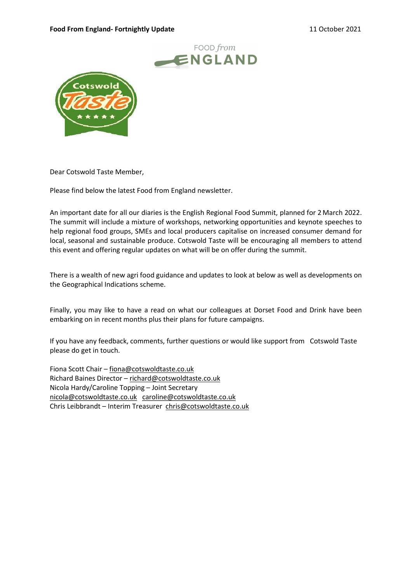#### Food From England- Fortnightly Update 11 October 2021





Dear Cotswold Taste Member,

Please find below the latest Food from England newsletter.

An important date for all our diaries is the English Regional Food Summit, planned for 2 March 2022. The summit will include a mixture of workshops, networking opportunities and keynote speeches to help regional food groups, SMEs and local producers capitalise on increased consumer demand for local, seasonal and sustainable produce. Cotswold Taste will be encouraging all members to attend this event and offering regular updates on what will be on offer during the summit.

There is a wealth of new agri food guidance and updates to look at below as well as developments on the Geographical Indications scheme.

Finally, you may like to have a read on what our colleagues at Dorset Food and Drink have been embarking on in recent months plus their plans for future campaigns.

If you have any feedback, comments, further questions or would like support from Cotswold Taste please do get in touch.

Fiona Scott Chair – fiona@cotswoldtaste.co.uk Richard Baines Director – richard@cotswoldtaste.co.uk Nicola Hardy/Caroline Topping – Joint Secretary nicola@cotswoldtaste.co.uk caroline@cotswoldtaste.co.uk Chris Leibbrandt – Interim Treasurer chris@cotswoldtaste.co.uk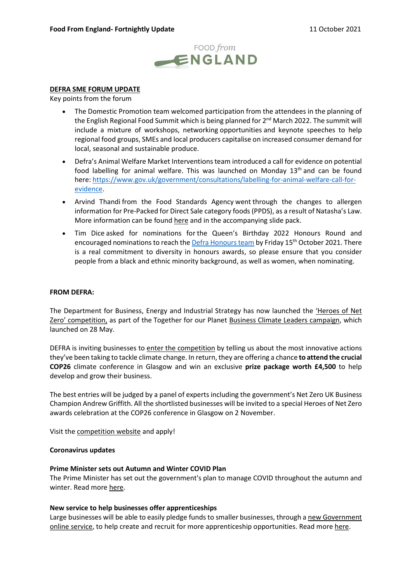

## DEFRA SME FORUM UPDATE

Key points from the forum

- The Domestic Promotion team welcomed participation from the attendees in the planning of the English Regional Food Summit which is being planned for 2<sup>nd</sup> March 2022. The summit will include a mixture of workshops, networking opportunities and keynote speeches to help regional food groups, SMEs and local producers capitalise on increased consumer demand for local, seasonal and sustainable produce.
- Defra's Animal Welfare Market Interventions team introduced a call for evidence on potential food labelling for animal welfare. This was launched on Monday  $13<sup>th</sup>$  and can be found here: https://www.gov.uk/government/consultations/labelling-for-animal-welfare-call-forevidence.
- Arvind Thandi from the Food Standards Agency went through the changes to allergen information for Pre-Packed for Direct Sale category foods (PPDS), as a result of Natasha's Law. More information can be found here and in the accompanying slide pack.
- Tim Dice asked for nominations for the Queen's Birthday 2022 Honours Round and encouraged nominations to reach the Defra Honours team by Friday 15<sup>th</sup> October 2021. There is a real commitment to diversity in honours awards, so please ensure that you consider people from a black and ethnic minority background, as well as women, when nominating.

#### FROM DEFRA:

The Department for Business, Energy and Industrial Strategy has now launched the 'Heroes of Net Zero' competition, as part of the Together for our Planet Business Climate Leaders campaign, which launched on 28 May.

DEFRA is inviting businesses to enter the competition by telling us about the most innovative actions they've been taking to tackle climate change. In return, they are offering a chance to attend the crucial COP26 climate conference in Glasgow and win an exclusive prize package worth £4,500 to help develop and grow their business.

The best entries will be judged by a panel of experts including the government's Net Zero UK Business Champion Andrew Griffith. All the shortlisted businesses will be invited to a special Heroes of Net Zero awards celebration at the COP26 conference in Glasgow on 2 November.

Visit the competition website and apply!

#### Coronavirus updates

#### Prime Minister sets out Autumn and Winter COVID Plan

The Prime Minister has set out the government's plan to manage COVID throughout the autumn and winter. Read more here.

### New service to help businesses offer apprenticeships

Large businesses will be able to easily pledge funds to smaller businesses, through a new Government online service, to help create and recruit for more apprenticeship opportunities. Read more here.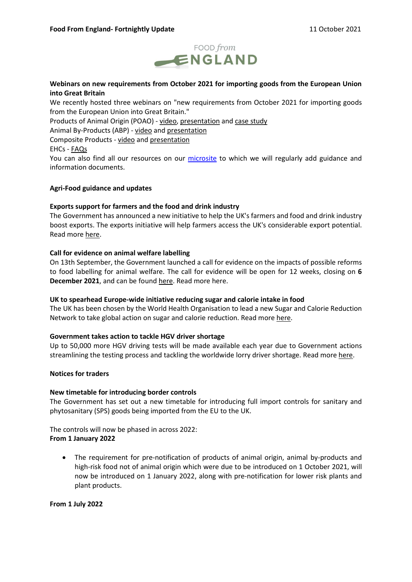

# Webinars on new requirements from October 2021 for importing goods from the European Union into Great Britain

We recently hosted three webinars on "new requirements from October 2021 for importing goods from the European Union into Great Britain."

Products of Animal Origin (POAO) - video, presentation and case study

Animal By-Products (ABP) - video and presentation

Composite Products - video and presentation

EHCs - FAQs

You can also find all our resources on our microsite to which we will regularly add guidance and information documents.

# Agri-Food guidance and updates

### Exports support for farmers and the food and drink industry

The Government has announced a new initiative to help the UK's farmers and food and drink industry boost exports. The exports initiative will help farmers access the UK's considerable export potential. Read more here.

# Call for evidence on animal welfare labelling

On 13th September, the Government launched a call for evidence on the impacts of possible reforms to food labelling for animal welfare. The call for evidence will be open for 12 weeks, closing on 6 December 2021, and can be found here. Read more here.

### UK to spearhead Europe-wide initiative reducing sugar and calorie intake in food

The UK has been chosen by the World Health Organisation to lead a new Sugar and Calorie Reduction Network to take global action on sugar and calorie reduction. Read more here.

### Government takes action to tackle HGV driver shortage

Up to 50,000 more HGV driving tests will be made available each year due to Government actions streamlining the testing process and tackling the worldwide lorry driver shortage. Read more here.

### Notices for traders

### New timetable for introducing border controls

The Government has set out a new timetable for introducing full import controls for sanitary and phytosanitary (SPS) goods being imported from the EU to the UK.

The controls will now be phased in across 2022: From 1 January 2022

 The requirement for pre-notification of products of animal origin, animal by-products and high-risk food not of animal origin which were due to be introduced on 1 October 2021, will now be introduced on 1 January 2022, along with pre-notification for lower risk plants and plant products.

From 1 July 2022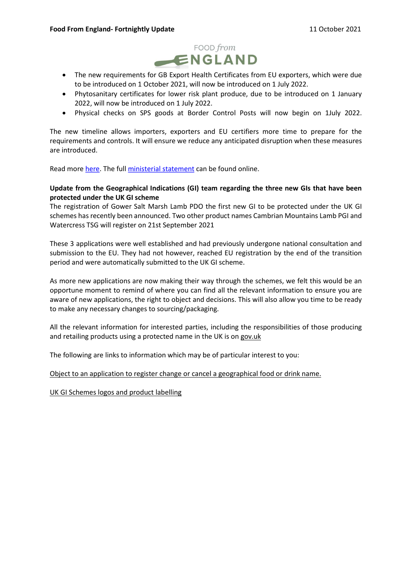

- The new requirements for GB Export Health Certificates from EU exporters, which were due to be introduced on 1 October 2021, will now be introduced on 1 July 2022.
- Phytosanitary certificates for lower risk plant produce, due to be introduced on 1 January 2022, will now be introduced on 1 July 2022.
- Physical checks on SPS goods at Border Control Posts will now begin on 1July 2022.

The new timeline allows importers, exporters and EU certifiers more time to prepare for the requirements and controls. It will ensure we reduce any anticipated disruption when these measures are introduced.

Read more here. The full ministerial statement can be found online.

## Update from the Geographical Indications (GI) team regarding the three new GIs that have been protected under the UK GI scheme

The registration of Gower Salt Marsh Lamb PDO the first new GI to be protected under the UK GI schemes has recently been announced. Two other product names Cambrian Mountains Lamb PGI and Watercress TSG will register on 21st September 2021

These 3 applications were well established and had previously undergone national consultation and submission to the EU. They had not however, reached EU registration by the end of the transition period and were automatically submitted to the UK GI scheme.

As more new applications are now making their way through the schemes, we felt this would be an opportune moment to remind of where you can find all the relevant information to ensure you are aware of new applications, the right to object and decisions. This will also allow you time to be ready to make any necessary changes to sourcing/packaging.

All the relevant information for interested parties, including the responsibilities of those producing and retailing products using a protected name in the UK is on gov.uk

The following are links to information which may be of particular interest to you:

Object to an application to register change or cancel a geographical food or drink name.

UK GI Schemes logos and product labelling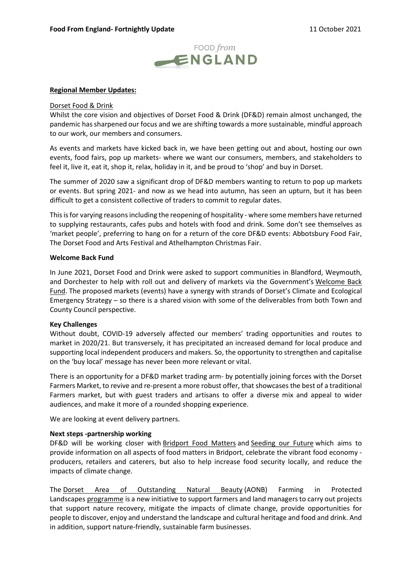

### Regional Member Updates:

#### Dorset Food & Drink

Whilst the core vision and objectives of Dorset Food & Drink (DF&D) remain almost unchanged, the pandemic has sharpened our focus and we are shifting towards a more sustainable, mindful approach to our work, our members and consumers.

As events and markets have kicked back in, we have been getting out and about, hosting our own events, food fairs, pop up markets- where we want our consumers, members, and stakeholders to feel it, live it, eat it, shop it, relax, holiday in it, and be proud to 'shop' and buy in Dorset.

The summer of 2020 saw a significant drop of DF&D members wanting to return to pop up markets or events. But spring 2021- and now as we head into autumn, has seen an upturn, but it has been difficult to get a consistent collective of traders to commit to regular dates.

This is for varying reasons including the reopening of hospitality - where some members have returned to supplying restaurants, cafes pubs and hotels with food and drink. Some don't see themselves as 'market people', preferring to hang on for a return of the core DF&D events: Abbotsbury Food Fair, The Dorset Food and Arts Festival and Athelhampton Christmas Fair.

#### Welcome Back Fund

In June 2021, Dorset Food and Drink were asked to support communities in Blandford, Weymouth, and Dorchester to help with roll out and delivery of markets via the Government's Welcome Back Fund. The proposed markets (events) have a synergy with strands of Dorset's Climate and Ecological Emergency Strategy – so there is a shared vision with some of the deliverables from both Town and County Council perspective.

### Key Challenges

Without doubt, COVID-19 adversely affected our members' trading opportunities and routes to market in 2020/21. But transversely, it has precipitated an increased demand for local produce and supporting local independent producers and makers. So, the opportunity to strengthen and capitalise on the 'buy local' message has never been more relevant or vital.

There is an opportunity for a DF&D market trading arm- by potentially joining forces with the Dorset Farmers Market, to revive and re-present a more robust offer, that showcases the best of a traditional Farmers market, but with guest traders and artisans to offer a diverse mix and appeal to wider audiences, and make it more of a rounded shopping experience.

We are looking at event delivery partners.

### Next steps -partnership working

DF&D will be working closer with Bridport Food Matters and Seeding our Future which aims to provide information on all aspects of food matters in Bridport, celebrate the vibrant food economy producers, retailers and caterers, but also to help increase food security locally, and reduce the impacts of climate change.

 The Dorset Area of Outstanding Natural Beauty (AONB) Farming in Protected Landscapes programme is a new initiative to support farmers and land managers to carry out projects that support nature recovery, mitigate the impacts of climate change, provide opportunities for people to discover, enjoy and understand the landscape and cultural heritage and food and drink. And in addition, support nature-friendly, sustainable farm businesses.